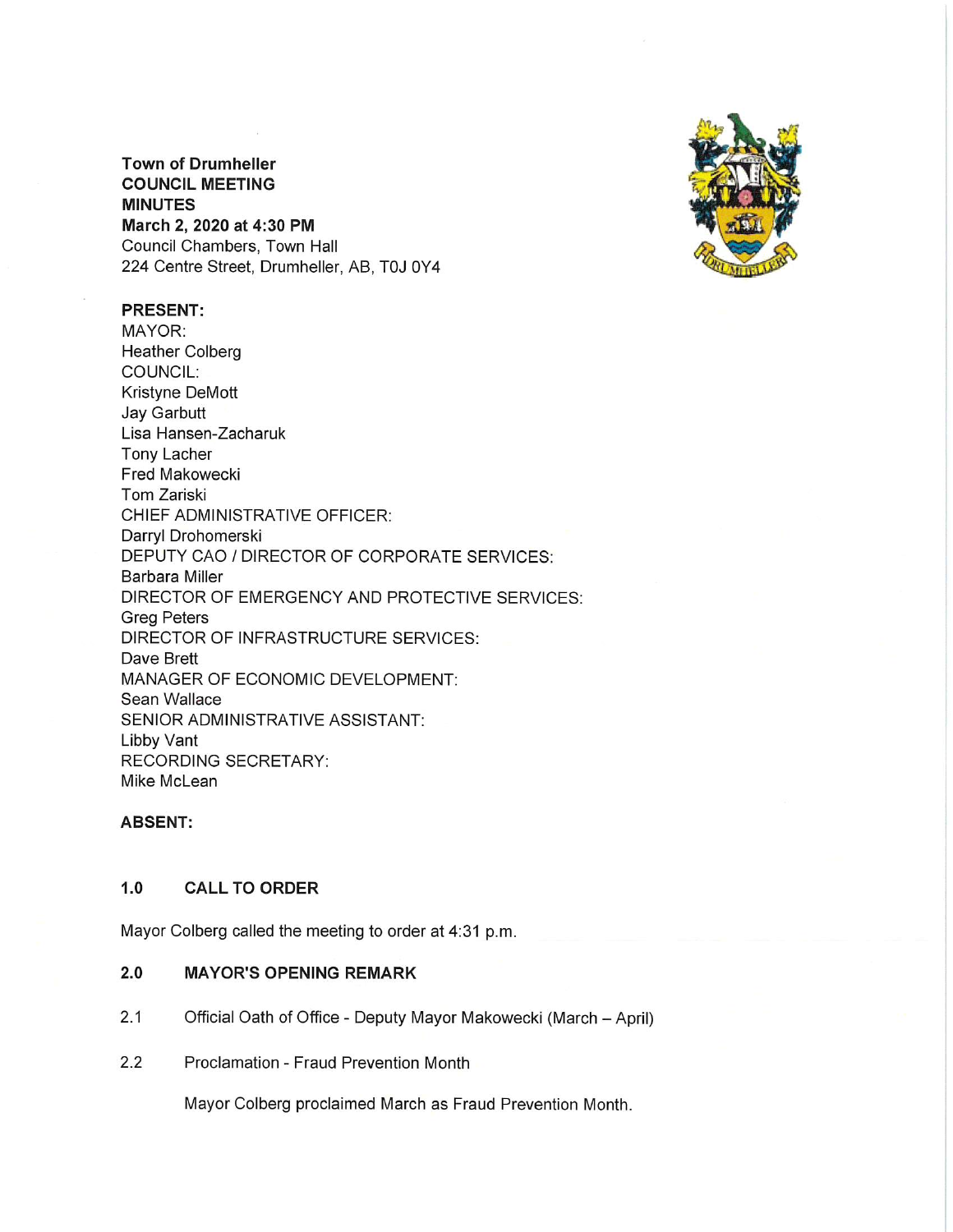

Town of Drumheller COUNCIL MEETING MINUTES March 2, 2020 at 4:30 PM Council Chambers, Town Hall 224 Centre Street, Drumheller, AB, TOJ OY4

### PRESENT:

MAYOR: Heather Colberg COUNCIL: Kristyne DeMott Jay Garbutt Lisa Hansen-Zacharuk Tony Lacher Fred Makowecki Tom Zariski CHIEF ADMINISTRATIVE OFFICER: Darryl Drohomerski DEPUTY CAO I DIRECTOR OF CORPORATE SERVICES: Barbara Miller DIRECTOR OF EMERGENCY AND PROTECTIVE SERVICES: Greg Peters DIRECTOR OF INFRASTRUCTURE SERVICES; Dave Brett MANAGER OF ECONOMIC DEVELOPMENT: Sean Wallace SENIOR ADMINISTRATIVE ASSISTANT: Libby Vant RECORDING SECRETARY: Mike McLean

### ABSENT:

# 1.0 CALL TO ORDER

Mayor Colberg called the meeting to order at 4:31 p.m.

### 2.0 MAYOR'S OPENING REMARK

- 2.1 Official Oath of Office Deputy Mayor Makowecki (March April)
- 2.2 Proclamation Fraud Prevention Month

Mayor Colberg proclaimed March as Fraud Prevention Month.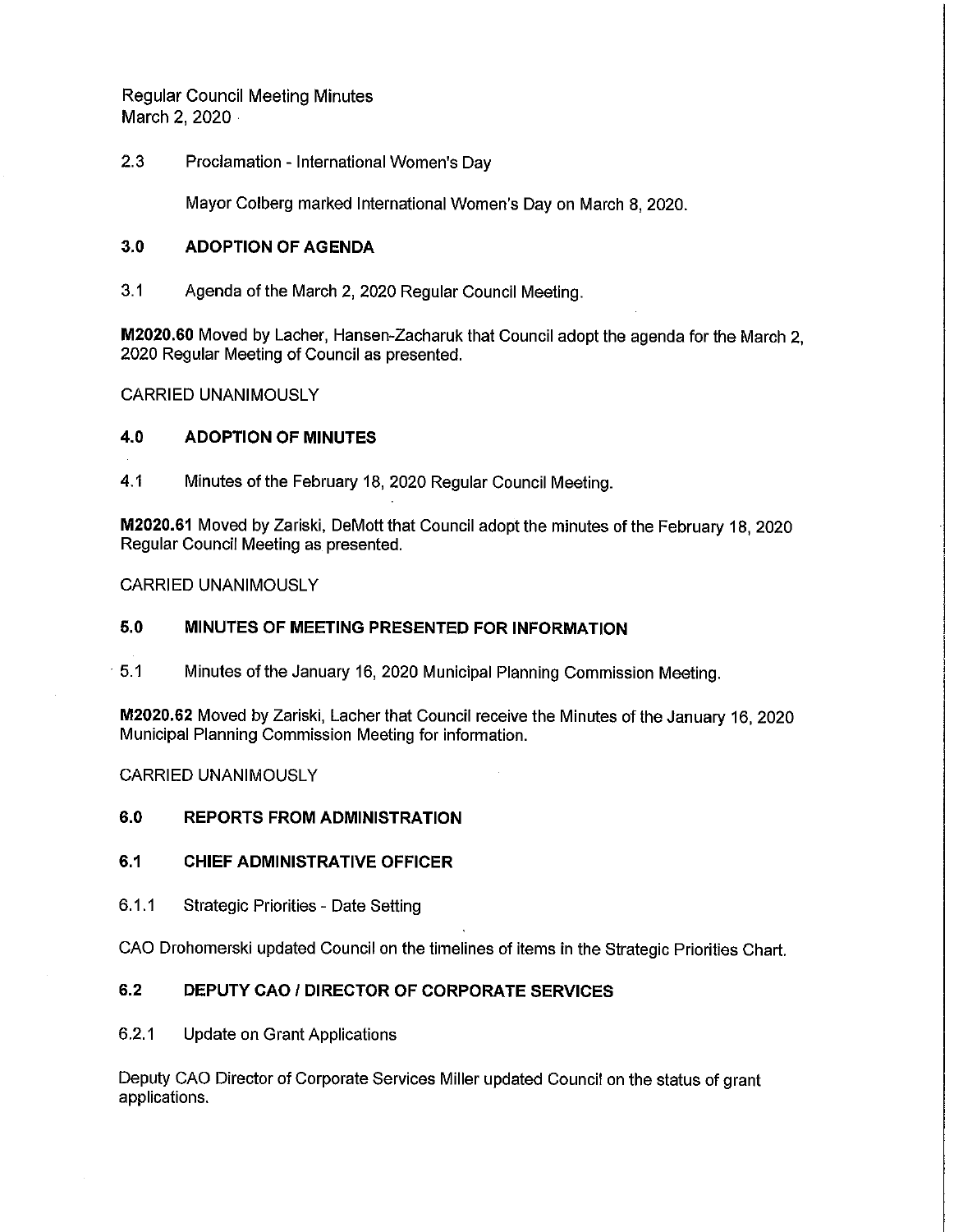# 2.3 Proclamation - International Women's Day

Mayor Colberg marked International Women's Day on March 8, 2020.

# 3.0 ADOPTION OF AGENDA

3.1 Agenda of the March 2, 2020 Regular Council Meeting.

M2020.60 Moved by Lacher, Hansen-Zacharuk that Council adopt the agenda for the March 2, 2020 Regular Meeting of Council as presented.

CARRIED UNANIMOUSLY

# 4.0 ADOPTION OF MINUTES

4.1 Minutes of the February 18, 2020 Regular Council Meeting.

M2020.61 Moved by Zariski, DeMott that Council adopt the minutes of the February 18, 2020 Regular Council Meeting as presented.

CARRIED UNANIMOUSLY

# 5.0 MINUTES OF MEETING PRESENTED FOR INFORMATION

5.1 Minutes of the January 16, 2020 Municipal Planning Commission Meeting.

M2020.62 Moved by Zariski, Lacher that Council receive the Minutes of the January 16, 2020 Municipal Planning Commission Meeting for information.

CARRIED UNANIMOUSLY

# 6.0 REPORTS FROM ADMINISTRATION

# 6.1 CHIEF ADMINISTRATIVE OFFICER

6.1.1 Strategic Priorities - Date Setting

CAO Drohomerski updated Council on the timelines of items in the Strategic Priorities Chart.

# 6.2 DEPUTY CAO I DIRECTOR OF CORPORATE SERVICES

6.2.1 Update on Grant Applications

Deputy CAO Director of Corporate Services Miller updated Council on the status of grant applications.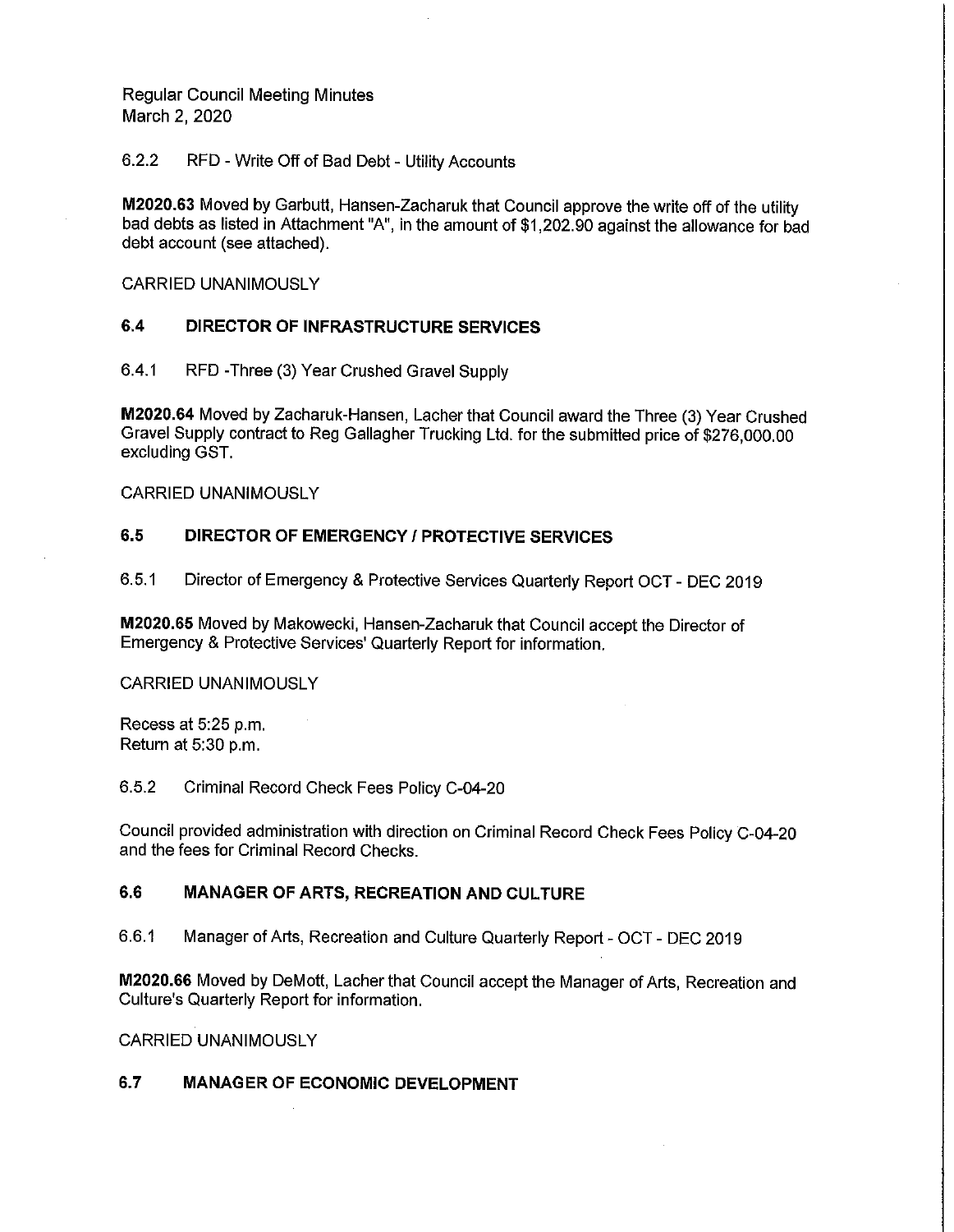# 6.2.2 RFD - Write Off of Bad Debt - Utility Accounts

M2020.63 Moved by Garbutt, Hansen-Zacharuk that Council approve the write off of the utility bad debts as listed in Attachment "A", in the amount of \$1,202.90 against the allowance for bad debt account (see attached).

CARRIED UNANIMOUSLY

# 6.4 DIRECTOR OF INFRASTRUCTURE SERVICES

6.4.1 RFD -Three (3) Year Crushed Gravel Supply

M2020.64 Moved by Zacharuk-Hansen, Lacher that Council award the Three (3) Year Crushed Gravel Supply contract to Reg Gallagher Trucking Ltd. for the submitted price of \$276,000.00 excluding GST.

CARRIED UNANIMOUSLY

# 6.5 DIRECTOR OF EMERGENCY / PROTECTIVE SERVICES

6.5.1 Director of Emergency & Protective Services Quarterly Report OCT - DEC 2019

M2020.65 Moved by Makowecki, Hansen-Zacharuk that Council accept the Director of Emergency & Protective Services' Quarterly Report for information.

#### CARRIED UNANIMOUSLY

Recess at 5:25 p.m. Return at 5:30 p.m.

# 6.5.2 Criminal Record Check Fees Policy C-04-20

Council provided administration with direction on Criminal Record Check Fees Policy C-04-20 and the fees for Criminal Record Checks.

# 6.6 MANAGER OF ARTS, RECREATION AND CULTURE

6.6.1 Manager of Arts, Recreation and Culture Quarterly Report — OCT - DEC 2019

M2020.66 Moved by DeMott, Lacher that Council accept the Manager of Arts, Recreation and CuIture's Quarterly Report for information.

CARRIED UNANIMOUSLY

# 6.7 MANAGER OF ECONOMIC DEVELOPMENT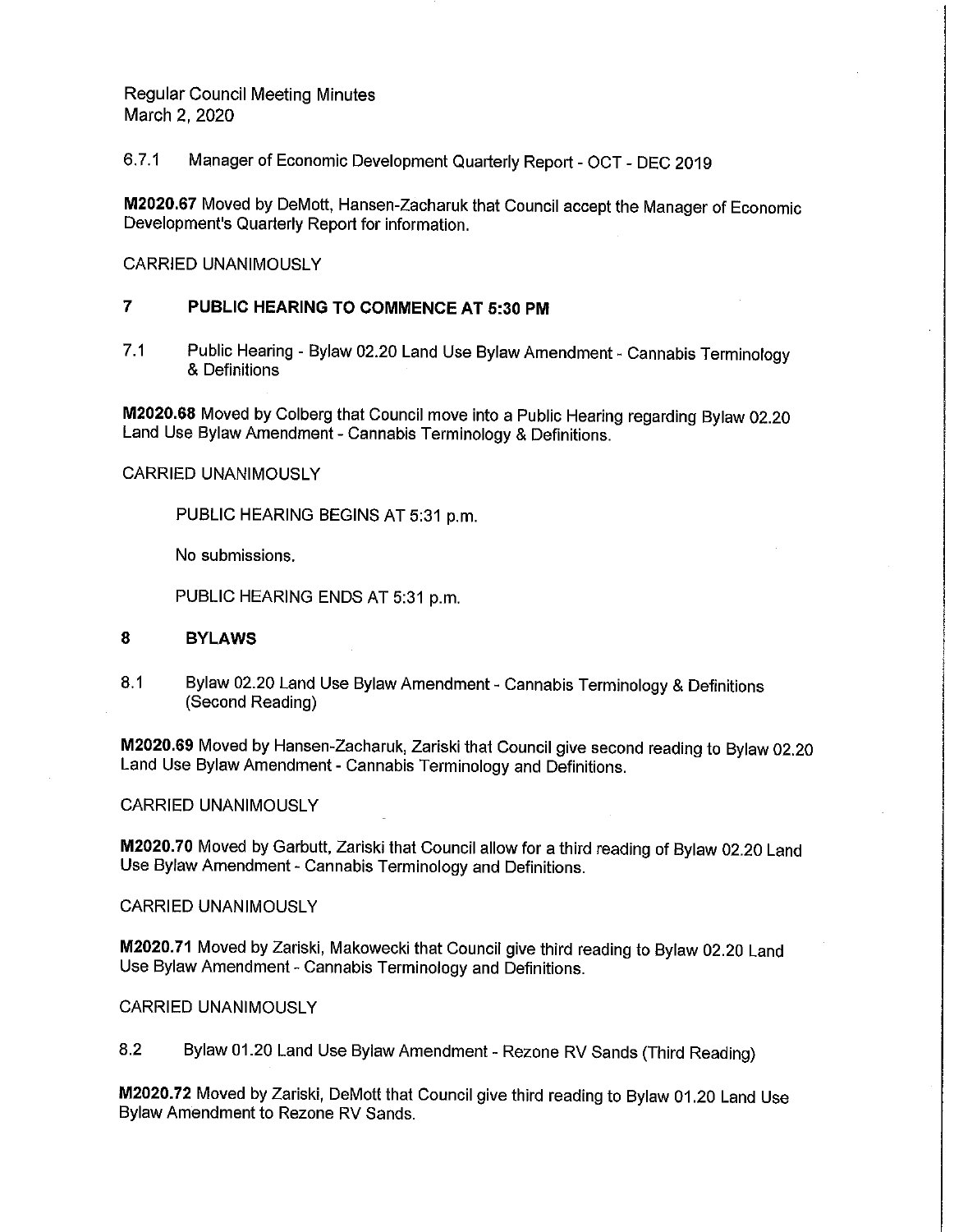6.7.1 Manager of Economic Development Quarterly Report - OCT - DEC2019

M2020.67 Moved by DeMott, Hansen-Zacharuk that Council accept the Manager of Economic Development's Quarterly Report for information.

CARRIED UNANIMOUSLY

# 7 PUBLIC HEARINGTO COMMENCEAT 5:30 PM

7.1 Public Hearing — Bylaw 02.20 Land Use Bylaw Amendment — Cannabis Terminology & Definitions

M2020.68 Moved by Colberg that Council move into a Public Hearing regarding Bylaw 02.20 Land Use Bylaw Amendment - Cannabis Terminology & Definitions.

#### CARRIED UNANIMOUSLY

PUBLIC HEARING BEGINS AT 5:31 p.m.

No submissions.

PUBLIC HEARING ENDS AT 5:31 p.m.

#### 8 BYLAWS

8.1 Bylaw 02.20 Land Use Bylaw Amendment - Cannabis Terminology & Definitions (Second Reading)

M2020.69 Moved by Hansen-Zacharuk, Zariski that Council give second reading to Bylaw 02.20 Land Use Bylaw Amendment - Cannabis Terminology and Definitions.

CARRIED UNANIMOUSLY

M2020.70 Moved by Garbutt, Zariski that Council allow for a third reading of Bylaw 02.20 Land Use Bylaw Amendment - Cannabis Terminology and Definitions.

CARRIED UNANIMOUSLY

M2020.71 Moved by Zariski, Makowecki that Council give third reading to Bylaw 02.20 Land Use Bylaw Amendment — Cannabis Terminology and Definitions.

CARRIED UNANIMOUSLY

8.2 Bylaw 01.20 Land Use Bylaw Amendment - Rezone RV Sands (Third Reading)

M2020.72 Moved by Zariski, DeMott that Council give third reading to Bylaw 01.20 Land Use Bylaw Amendment to Rezone RV Sands.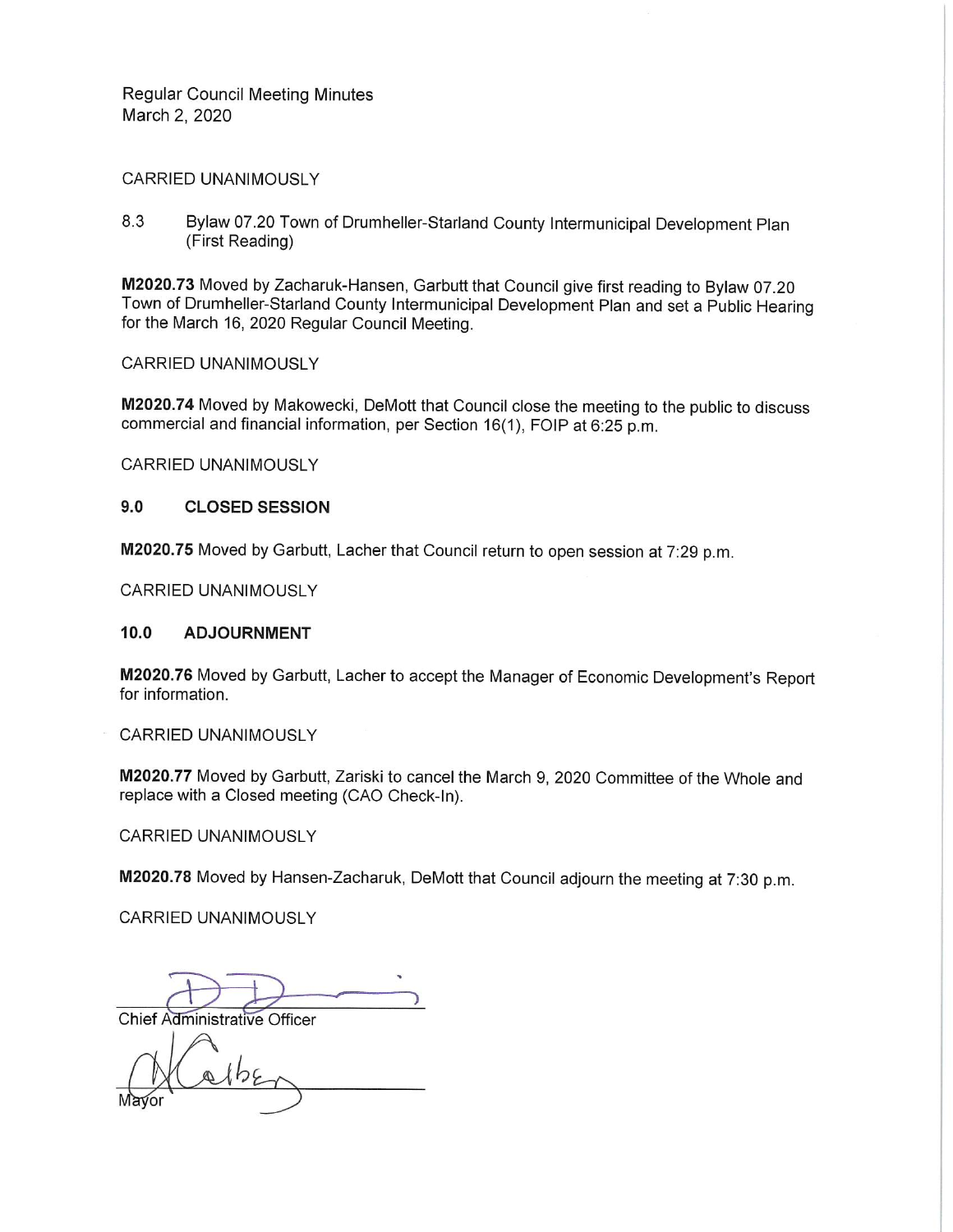# CARRIED UNANIMOUSLY

8.3 Bylaw 07.20 Town of Drumheller-Starland County Intermunicipal Development Plan (First Reading)

M2020.73 Moved by Zacharuk-Hansen, Garbutt that Council give first reading to Bylaw 07.20 Town of Drumheller-Starland County Intermunicipal Development Plan and set a Public Hearing for the March 16, 2020 Regular Council Meeting.

CARRIED UNANIMOUSLY

M2020.74 Moved by Makowecki, DeMott that Council close the meeting to the public to discuss commercial and financial information, per Section 16(1), FOIP at 6:25 p.m.

**CARRIED UNANIMOUSLY** 

# 9.0 CLOSED SESSION

M2020.75 Moved by Garbutt, Lacher that Council return to open session at 7:29 p.m.

CARRIED UNANIMOUSLY

#### 10.0 ADJOURNMENT

M2020.76 Moved by Garbutt, Lacher to accept the Manager of Economic Development's Report for information.

CARRIED UNANIMOUSLY

M2020.77 Moved by Garbutt, Zariski to cancel the March 9, 2020 Committee of the Whole and replace with a Closed meeting (CAO Check-In).

CARRIED UNANIMOUSLY

M2020.78 Moved by Hansen-Zacharuk, DeMott that Council adjourn the meeting at 7:30 p.m.

CARRIED UNANIMOUSLY

 $\bigoplus$ 

Chief Administrative Officer<br>
Mavor<br>Mavor